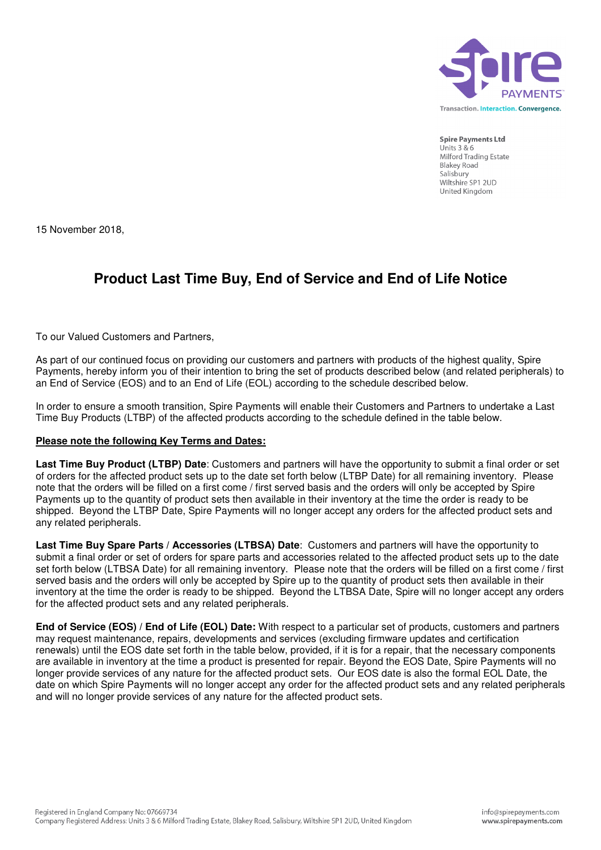

**Spire Payments Ltd** Units  $3 & 6$ Milford Trading Estate **Blakey Road** Salisbury Wiltshire SP1 2UD United Kinadom

15 November 2018,

## **Product Last Time Buy, End of Service and End of Life Notice**

To our Valued Customers and Partners,

As part of our continued focus on providing our customers and partners with products of the highest quality, Spire Payments, hereby inform you of their intention to bring the set of products described below (and related peripherals) to an End of Service (EOS) and to an End of Life (EOL) according to the schedule described below.

In order to ensure a smooth transition, Spire Payments will enable their Customers and Partners to undertake a Last Time Buy Products (LTBP) of the affected products according to the schedule defined in the table below.

## **Please note the following Key Terms and Dates:**

**Last Time Buy Product (LTBP) Date**: Customers and partners will have the opportunity to submit a final order or set of orders for the affected product sets up to the date set forth below (LTBP Date) for all remaining inventory. Please note that the orders will be filled on a first come / first served basis and the orders will only be accepted by Spire Payments up to the quantity of product sets then available in their inventory at the time the order is ready to be shipped. Beyond the LTBP Date, Spire Payments will no longer accept any orders for the affected product sets and any related peripherals.

**Last Time Buy Spare Parts / Accessories (LTBSA) Date**: Customers and partners will have the opportunity to submit a final order or set of orders for spare parts and accessories related to the affected product sets up to the date set forth below (LTBSA Date) for all remaining inventory. Please note that the orders will be filled on a first come / first served basis and the orders will only be accepted by Spire up to the quantity of product sets then available in their inventory at the time the order is ready to be shipped. Beyond the LTBSA Date, Spire will no longer accept any orders for the affected product sets and any related peripherals.

**End of Service (EOS) / End of Life (EOL) Date:** With respect to a particular set of products, customers and partners may request maintenance, repairs, developments and services (excluding firmware updates and certification renewals) until the EOS date set forth in the table below, provided, if it is for a repair, that the necessary components are available in inventory at the time a product is presented for repair. Beyond the EOS Date, Spire Payments will no longer provide services of any nature for the affected product sets. Our EOS date is also the formal EOL Date, the date on which Spire Payments will no longer accept any order for the affected product sets and any related peripherals and will no longer provide services of any nature for the affected product sets.